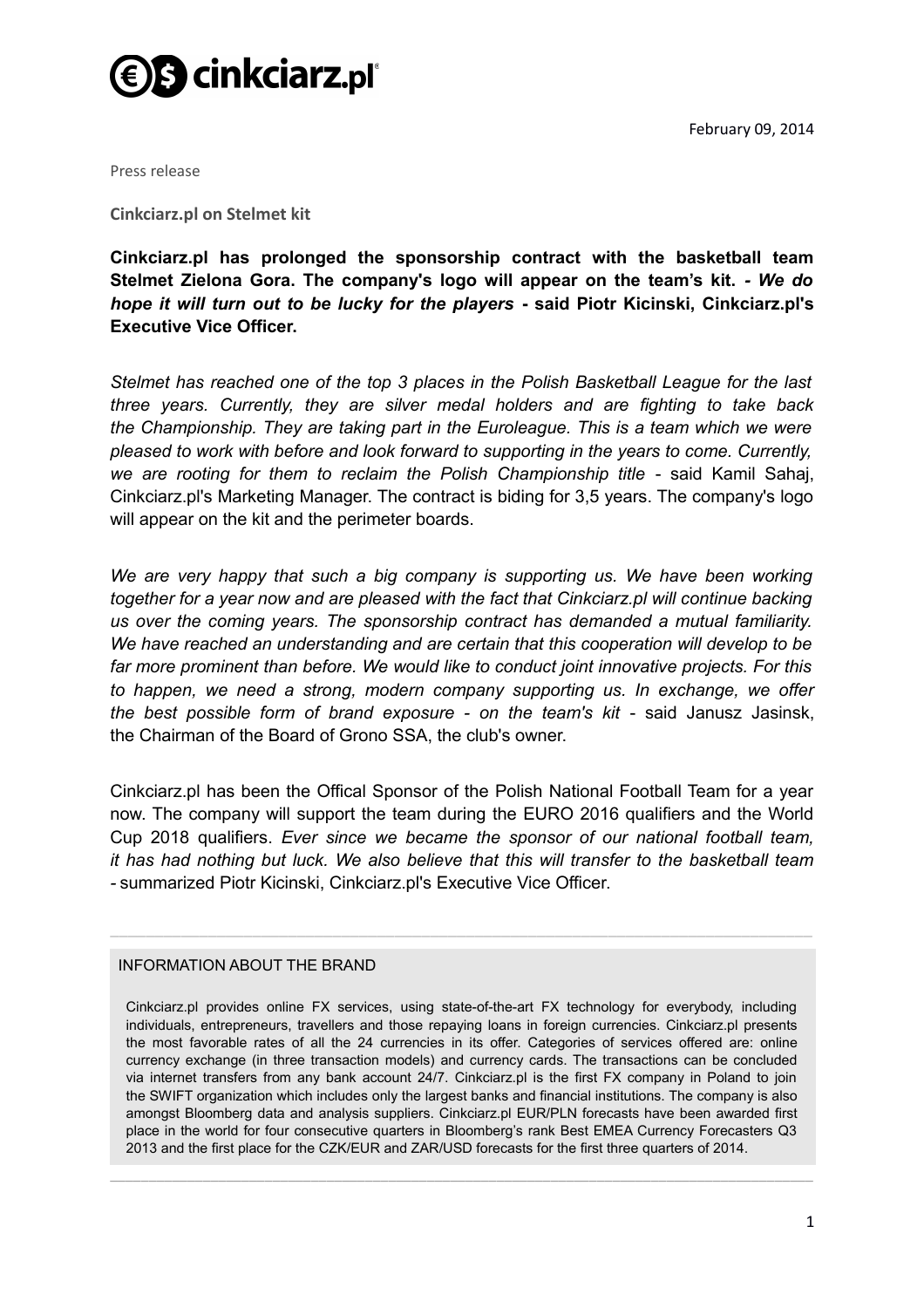

February 09, 2014

Press release

**Cinkciarz.pl on Stelmet kit**

**Cinkciarz.pl has prolonged the sponsorship contract with the basketball team Stelmet Zielona Gora. The company's logo will appear on the team's kit.** *- We do hope it will turn out to be lucky for the players* **- said Piotr Kicinski, Cinkciarz.pl's Executive Vice Officer.**

*Stelmet has reached one of the top 3 places in the Polish Basketball League for the last three years. Currently, they are silver medal holders and are fighting to take back the Championship. They are taking part in the Euroleague. This is a team which we were pleased to work with before and look forward to supporting in the years to come. Currently,* we are rooting for them to reclaim the Polish Championship title - said Kamil Sahaj, Cinkciarz.pl's Marketing Manager. The contract is biding for 3,5 years. The company's logo will appear on the kit and the perimeter boards.

*We are very happy that such a big company is supporting us. We have been working together for a year now and are pleased with the fact that Cinkciarz.pl will continue backing us over the coming years. The sponsorship contract has demanded a mutual familiarity. We have reached an understanding and are certain that this cooperation will develop to be far more prominent than before. We would like to conduct joint innovative projects. For this to happen, we need a strong, modern company supporting us. In exchange, we offer the best possible form of brand exposure - on the team's kit - said Janusz Jasinsk,* the Chairman of the Board of Grono SSA, the club's owner.

Cinkciarz.pl has been the Offical Sponsor of the Polish National Football Team for a year now. The company will support the team during the EURO 2016 qualifiers and the World Cup 2018 qualifiers. *Ever since we became the sponsor of our national football team, it has had nothing but luck. We also believe that this will transfer to the basketball team -* summarized Piotr Kicinski, Cinkciarz.pl's Executive Vice Officer.

\_\_\_\_\_\_\_\_\_\_\_\_\_\_\_\_\_\_\_\_\_\_\_\_\_\_\_\_\_\_\_\_\_\_\_\_\_\_\_\_\_\_\_\_\_\_\_\_\_\_\_\_\_\_\_\_\_\_\_\_\_\_\_\_\_\_\_\_\_\_\_\_\_\_\_\_\_\_\_

## INFORMATION ABOUT THE BRAND

Cinkciarz.pl provides online FX services, using state-of-the-art FX technology for everybody, including individuals, entrepreneurs, travellers and those repaying loans in foreign currencies. Cinkciarz.pl presents the most favorable rates of all the 24 currencies in its offer. Categories of services offered are: online currency exchange (in three transaction models) and currency cards. The transactions can be concluded via internet transfers from any bank account 24/7. Cinkciarz.pl is the first FX company in Poland to join the SWIFT organization which includes only the largest banks and financial institutions. The company is also amongst Bloomberg data and analysis suppliers. Cinkciarz.pl EUR/PLN forecasts have been awarded first place in the world for four consecutive quarters in Bloomberg's rank Best EMEA Currency Forecasters Q3 2013 and the first place for the CZK/EUR and ZAR/USD forecasts for the first three quarters of 2014.